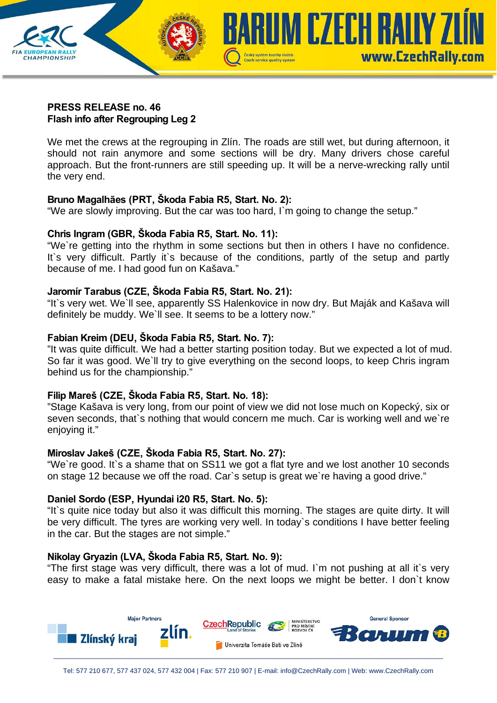

## **PRESS RELEASE no. 46 Flash info after Regrouping Leg 2**

We met the crews at the regrouping in Zlín. The roads are still wet, but during afternoon, it should not rain anymore and some sections will be dry. Many drivers chose careful approach. But the front-runners are still speeding up. It will be a nerve-wrecking rally until the very end.

# **Bruno Magalhães (PRT, Škoda Fabia R5, Start. No. 2):**

"We are slowly improving. But the car was too hard, I`m going to change the setup."

# **Chris Ingram (GBR, Škoda Fabia R5, Start. No. 11):**

"We`re getting into the rhythm in some sections but then in others I have no confidence. It's very difficult. Partly it's because of the conditions, partly of the setup and partly because of me. I had good fun on Kašava."

# **Jaromír Tarabus (CZE, Škoda Fabia R5, Start. No. 21):**

"It`s very wet. We`ll see, apparently SS Halenkovice in now dry. But Maják and Kašava will definitely be muddy. We`ll see. It seems to be a lottery now."

# **Fabian Kreim (DEU, Škoda Fabia R5, Start. No. 7):**

"It was quite difficult. We had a better starting position today. But we expected a lot of mud. So far it was good. We`ll try to give everything on the second loops, to keep Chris ingram behind us for the championship."

# **Filip Mareš (CZE, Škoda Fabia R5, Start. No. 18):**

"Stage Kašava is very long, from our point of view we did not lose much on Kopecký, six or seven seconds, that`s nothing that would concern me much. Car is working well and we`re enjoying it."

# **Miroslav Jakeš (CZE, Škoda Fabia R5, Start. No. 27):**

"We`re good. It`s a shame that on SS11 we got a flat tyre and we lost another 10 seconds on stage 12 because we off the road. Car`s setup is great we`re having a good drive."

# **Daniel Sordo (ESP, Hyundai i20 R5, Start. No. 5):**

"It`s quite nice today but also it was difficult this morning. The stages are quite dirty. It will be very difficult. The tyres are working very well. In today`s conditions I have better feeling in the car. But the stages are not simple."

# **Nikolay Gryazin (LVA, Škoda Fabia R5, Start. No. 9):**

"The first stage was very difficult, there was a lot of mud. I`m not pushing at all it`s very easy to make a fatal mistake here. On the next loops we might be better. I don`t know

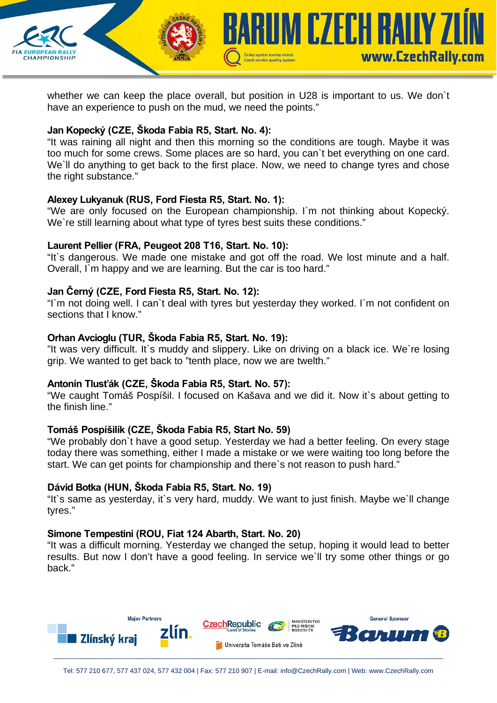

Czech service quality system

**KUM CZECH RAILY ZI** 

www.CzechRally.com

## **Jan Kopecký (CZE, Škoda Fabia R5, Start. No. 4):**

**CHAMPIONSHIP** 

"It was raining all night and then this morning so the conditions are tough. Maybe it was too much for some crews. Some places are so hard, you can`t bet everything on one card. We'll do anything to get back to the first place. Now, we need to change tyres and chose the right substance."

#### **Alexey Lukyanuk (RUS, Ford Fiesta R5, Start. No. 1):**

"We are only focused on the European championship. I`m not thinking about Kopecký. We're still learning about what type of tyres best suits these conditions."

### **Laurent Pellier (FRA, Peugeot 208 T16, Start. No. 10):**

"It`s dangerous. We made one mistake and got off the road. We lost minute and a half. Overall, I`m happy and we are learning. But the car is too hard."

### **Jan Černý (CZE, Ford Fiesta R5, Start. No. 12):**

"I`m not doing well. I can`t deal with tyres but yesterday they worked. I`m not confident on sections that I know."

### **Orhan Avcioglu (TUR, Škoda Fabia R5, Start. No. 19):**

"It was very difficult. It`s muddy and slippery. Like on driving on a black ice. We`re losing grip. We wanted to get back to "tenth place, now we are twelth."

#### **Antonín Tlusťák (CZE, Škoda Fabia R5, Start. No. 57):**

"We caught Tomáš Pospíšil. I focused on Kašava and we did it. Now it`s about getting to the finish line."

#### **Tomáš Pospíšilík (CZE, Škoda Fabia R5, Start No. 59)**

"We probably don`t have a good setup. Yesterday we had a better feeling. On every stage today there was something, either I made a mistake or we were waiting too long before the start. We can get points for championship and there`s not reason to push hard."

#### **Dávid Botka (HUN, Škoda Fabia R5, Start. No. 19)**

"It`s same as yesterday, it`s very hard, muddy. We want to just finish. Maybe we`ll change tyres."

#### **Simone Tempestini (ROU, Fiat 124 Abarth, Start. No. 20)**

"It was a difficult morning. Yesterday we changed the setup, hoping it would lead to better results. But now I don't have a good feeling. In service we`ll try some other things or go back."